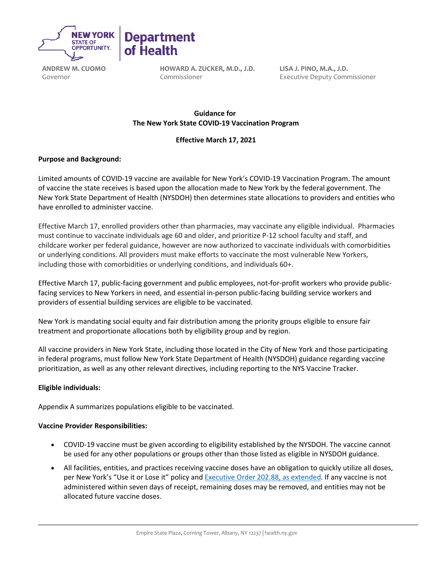

**ANDREW M. CUOMO** Governor

**HOWARD A. ZUCKER, M.D., J.D.** Commissioner

**Department** 

of Health

**LISA J. PINO, M.A., J.D.** Executive Deputy Commissioner

# **Guidance for   The New York State COVID-19 Vaccination Program**

# **Effective March 17, 2021**

## **Purpose and Background:**

Limited amounts of COVID-19 vaccine are available for New York's COVID-19 Vaccination Program. The amount of vaccine the state receives is based upon the allocation made to New York by the federal government. The New York State Department of Health (NYSDOH) then determines state allocations to providers and entities who have enrolled to administer vaccine.

Effective March 17, enrolled providers other than pharmacies, may vaccinate any eligible individual. Pharmacies must continue to vaccinate individuals age 60 and older, and prioritize P-12 school faculty and staff, and childcare worker per federal guidance, however are now authorized to vaccinate individuals with comorbidities or underlying conditions. All providers must make efforts to vaccinate the most vulnerable New Yorkers, including those with comorbidities or underlying conditions, and individuals 60+.

Effective March 17, public-facing government and public employees, not-for-profit workers who provide publicfacing services to New Yorkers in need, and essential in-person public-facing building service workers and providers of essential building services are eligible to be vaccinated.

New York is mandating social equity and fair distribution among the priority groups eligible to ensure fair treatment and proportionate allocations both by eligibility group and by region.

All vaccine providers in New York State, including those located in the City of New York and those participating in federal programs, must follow New York State Department of Health (NYSDOH) guidance regarding vaccine prioritization, as well as any other relevant directives, including reporting to the NYS Vaccine Tracker.

### **Eligible individuals:**

Appendix A summarizes populations eligible to be vaccinated.

### **Vaccine Provider Responsibilities:**

- COVID-19 vaccine must be given according to eligibility established by the NYSDOH. The vaccine cannot be used for any other populations or groups other than those listed as eligible in NYSDOH guidance.
- All facilities, entities, and practices receiving vaccine doses have an obligation to quickly utilize all doses, per New York's "Use it or Lose it" policy and **Executive Order 202.88, as extended**. If any vaccine is not administered within seven days of receipt, remaining doses may be removed, and entities may not be allocated future vaccine doses.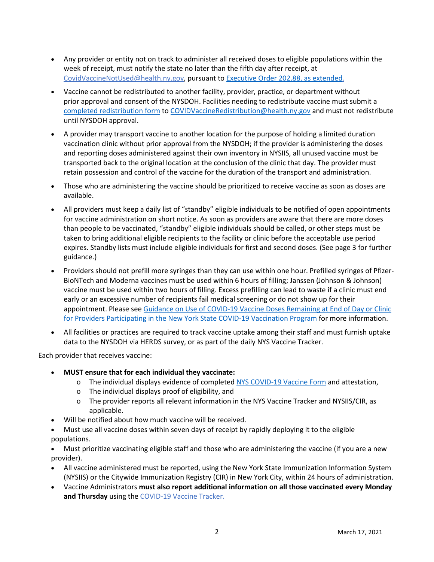- Any provider or entity not on track to administer all received doses to eligible populations within the week of receipt, must notify the state no later than the fifth day after receipt, at [CovidVaccineNotUsed@health.ny.gov,](mailto:CovidVaccineNotUsed@health.ny.gov) pursuant to [Executive Order 202.88,](https://www.governor.ny.gov/news/no-20288-continuing-temporary-suspension-and-modification-laws-relating-disaster-emergency) as extended.
- Vaccine cannot be redistributed to another facility, provider, practice, or department without prior approval and consent of the NYSDOH. Facilities needing to redistribute vaccine must submit a [completed redistribution form](https://coronavirus.health.ny.gov/system/files/documents/2021/03/vaccine-program-redistribution-combined-3.5.21-1958.pdf) t[o COVIDVaccineRedistribution@health.ny.gov](mailto:COVIDVaccineRedistribution@health.ny.gov) and must not redistribute until NYSDOH approval.
- A provider may transport vaccine to another location for the purpose of holding a limited duration vaccination clinic without prior approval from the NYSDOH; if the provider is administering the doses and reporting doses administered against their own inventory in NYSIIS, all unused vaccine must be transported back to the original location at the conclusion of the clinic that day. The provider must retain possession and control of the vaccine for the duration of the transport and administration.
- Those who are administering the vaccine should be prioritized to receive vaccine as soon as doses are available.
- All providers must keep a daily list of "standby" eligible individuals to be notified of open appointments for vaccine administration on short notice. As soon as providers are aware that there are more doses than people to be vaccinated, "standby" eligible individuals should be called, or other steps must be taken to bring additional eligible recipients to the facility or clinic before the acceptable use period expires. Standby lists must include eligible individuals for first and second doses. (See page 3 for further guidance.)
- Providers should not prefill more syringes than they can use within one hour. Prefilled syringes of Pfizer-BioNTech and Moderna vaccines must be used within 6 hours of filling; Janssen (Johnson & Johnson) vaccine must be used within two hours of filling. Excess prefilling can lead to waste if a clinic must end early or an excessive number of recipients fail medical screening or do not show up for their appointment. Please se[e Guidance on Use of COVID-19 Vaccine Doses Remaining at End of Day or Clinic](https://coronavirus.health.ny.gov/system/files/documents/2021/01/guidance_about_to_expire_remaining_doses_of_covid_19_vaccine011321.pdf)  [for Providers Participating in the New York State COVID-19 Vaccination Program](https://coronavirus.health.ny.gov/system/files/documents/2021/01/guidance_about_to_expire_remaining_doses_of_covid_19_vaccine011321.pdf) for more information.
- All facilities or practices are required to track vaccine uptake among their staff and must furnish uptake data to the NYSDOH via HERDS survey, or as part of the daily NYS Vaccine Tracker.

Each provider that receives vaccine: 

- **MUST ensure that for each individual they vaccinate:**
	- o The individual displays evidence of completed NYS [COVID-19](https://forms.ny.gov/s3/vaccine) [Vaccine Form](https://forms.ny.gov/s3/vaccine) and attestation,
	- o The individual displays proof of eligibility, and
	- o The provider reports all relevant information in the NYS Vaccine Tracker and NYSIIS/CIR, as applicable.
- Will be notified about how much vaccine will be received.
- Must use all vaccine doses within seven days of receipt by rapidly deploying it to the eligible populations.

• Must prioritize vaccinating eligible staff and those who are administering the vaccine (if you are a new provider). 

- All vaccine administered must be reported, using the New York State Immunization Information System (NYSIIS) or the Citywide Immunization Registry (CIR) in New York City, within 24 hours of administration.
- Vaccine Administrators **must also report additional information on all those vaccinated every Monday and Thursday** using the [COVID-19 Vaccine Tracker.](https://forms.ny.gov/s3/COVID-Vaccine-Tracker)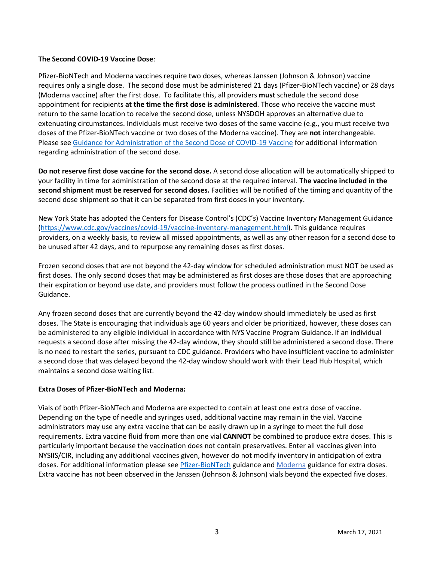### **The Second COVID-19 Vaccine Dose**:

Pfizer-BioNTech and Moderna vaccines require two doses, whereas Janssen (Johnson & Johnson) vaccine requires only a single dose. The second dose must be administered 21 days (Pfizer-BioNTech vaccine) or 28 days (Moderna vaccine) after the first dose. To facilitate this, all providers **must** schedule the second dose appointment for recipients **at the time the first dose is administered**. Those who receive the vaccine must return to the same location to receive the second dose, unless NYSDOH approves an alternative due to extenuating circumstances. Individuals must receive two doses of the same vaccine (e.g., you must receive two doses of the Pfizer-BioNTech vaccine or two doses of the Moderna vaccine). They are **not** interchangeable. Please see [Guidance for Administration of the Second Dose of COVID-19 Vaccine](https://coronavirus.health.ny.gov/guidance-administration-second-dose) for additional information regarding administration of the second dose.

**Do not reserve first dose vaccine for the second dose.**A second dose allocation will be automatically shipped to your facility in time for administration of the second dose at the required interval. **The vaccine included in the second shipment must be reserved for second doses.**Facilities will be notified of the timing and quantity of the second dose shipment so that it can be separated from first doses in your inventory.

New York State has adopted the Centers for Disease Control's (CDC's) Vaccine Inventory Management Guidance [\(https://www.cdc.gov/vaccines/covid-19/vaccine-inventory-management.html\)](https://www.cdc.gov/vaccines/covid-19/vaccine-inventory-management.html). This guidance requires providers, on a weekly basis, to review all missed appointments, as well as any other reason for a second dose to be unused after 42 days, and to repurpose any remaining doses as first doses.

Frozen second doses that are not beyond the 42-day window for scheduled administration must NOT be used as first doses. The only second doses that may be administered as first doses are those doses that are approaching their expiration or beyond use date, and providers must follow the process outlined in the Second Dose Guidance.

Any frozen second doses that are currently beyond the 42-day window should immediately be used as first doses. The State is encouraging that individuals age 60 years and older be prioritized, however, these doses can be administered to any eligible individual in accordance with NYS Vaccine Program Guidance. If an individual requests a second dose after missing the 42-day window, they should still be administered a second dose. There is no need to restart the series, pursuant to CDC guidance. Providers who have insufficient vaccine to administer a second dose that was delayed beyond the 42-day window should work with their Lead Hub Hospital, which maintains a second dose waiting list.

### **Extra Doses of Pfizer-BioNTech and Moderna:**

Vials of both Pfizer-BioNTech and Moderna are expected to contain at least one extra dose of vaccine. Depending on the type of needle and syringes used, additional vaccine may remain in the vial. Vaccine administrators may use any extra vaccine that can be easily drawn up in a syringe to meet the full dose requirements. Extra vaccine fluid from more than one vial **CANNOT** be combined to produce extra doses. This is particularly important because the vaccination does not contain preservatives. Enter all vaccines given into NYSIIS/CIR, including any additional vaccines given, however do not modify inventory in anticipation of extra doses. For additional information please see [Pfizer-BioNTech](https://coronavirus.health.ny.gov/system/files/documents/2020/12/pfizer_vaccine_guidance_doses.pdf) guidance and [Moderna](https://coronavirus.health.ny.gov/system/files/documents/2021/01/modernaextradosepackage.pdf) guidance for extra doses. Extra vaccine has not been observed in the Janssen (Johnson & Johnson) vials beyond the expected five doses.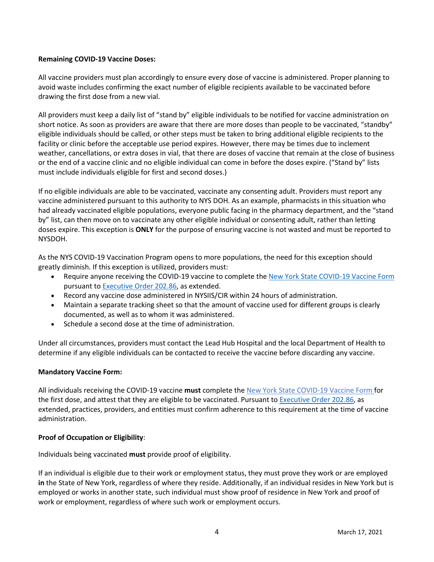### **Remaining COVID-19 Vaccine Doses:**

All vaccine providers must plan accordingly to ensure every dose of vaccine is administered. Proper planning to avoid waste includes confirming the exact number of eligible recipients available to be vaccinated before drawing the first dose from a new vial.

All providers must keep a daily list of "stand by" eligible individuals to be notified for vaccine administration on short notice. As soon as providers are aware that there are more doses than people to be vaccinated, "standby" eligible individuals should be called, or other steps must be taken to bring additional eligible recipients to the facility or clinic before the acceptable use period expires. However, there may be times due to inclement weather, cancellations, or extra doses in vial, that there are doses of vaccine that remain at the close of business or the end of a vaccine clinic and no eligible individual can come in before the doses expire. ("Stand by" lists must include individuals eligible for first and second doses.)

If no eligible individuals are able to be vaccinated, vaccinate any consenting adult. Providers must report any vaccine administered pursuant to this authority to NYS DOH. As an example, pharmacists in this situation who had already vaccinated eligible populations, everyone public facing in the pharmacy department, and the "stand by" list, can then move on to vaccinate any other eligible individual or consenting adult, rather than letting doses expire. This exception is **ONLY** for the purpose of ensuring vaccine is not wasted and must be reported to NYSDOH.

As the NYS COVID-19 Vaccination Program opens to more populations, the need for this exception should greatly diminish. If this exception is utilized, providers must:

- Require anyone receiving the COVID-19 vaccine to complete the [New York State COVID-](https://forms.ny.gov/s3/vaccine)[19 Vaccine Form](https://forms.ny.gov/s3/vaccine) pursuant t[o Executive Order 202.86,](https://www.governor.ny.gov/news/no-20286-continuing-temporary-suspension-and-modification-laws-relating-disaster-emergency) as extended.
- Record any vaccine dose administered in NYSIIS/CIR within 24 hours of administration.
- Maintain a separate tracking sheet so that the amount of vaccine used for different groups is clearly documented, as well as to whom it was administered.
- Schedule a second dose at the time of administration.

Under all circumstances, providers must contact the Lead Hub Hospital and the local Department of Health to determine if any eligible individuals can be contacted to receive the vaccine before discarding any vaccine.

### **Mandatory Vaccine Form:**

All individuals receiving the COVID-19 vaccine **must** complete the [New York State COVID-](https://forms.ny.gov/s3/vaccine)19 Vaccine Form for the first dose, and attest that they are eligible to be vaccinated. Pursuant to **Executive Order 202.86**, as extended, practices, providers, and entities must confirm adherence to this requirement at the time of vaccine administration.

### **Proof of Occupation or Eligibility**:

Individuals being vaccinated **must** provide proof of eligibility.

If an individual is eligible due to their work or employment status, they must prove they work or are employed **in** the State of New York, regardless of where they reside. Additionally, if an individual resides in New York but is employed or works in another state, such individual must show proof of residence in New York and proof of work or employment, regardless of where such work or employment occurs.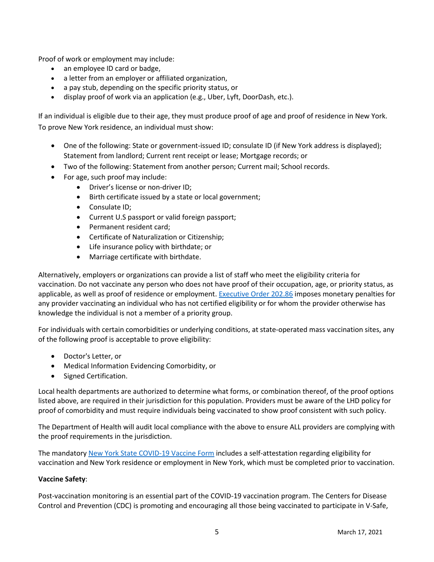Proof of work or employment may include:

- an employee ID card or badge,
- a letter from an employer or affiliated organization,
- a pay stub, depending on the specific priority status, or
- display proof of work via an application (e.g., Uber, Lyft, DoorDash, etc.).

If an individual is eligible due to their age, they must produce proof of age and proof of residence in New York. To prove New York residence, an individual must show:

- One of the following: State or government-issued ID; consulate ID (if New York address is displayed); Statement from landlord; Current rent receipt or lease; Mortgage records; or
- Two of the following: Statement from another person; Current mail; School records.
- For age, such proof may include:
	- Driver's license or non-driver ID;
	- Birth certificate issued by a state or local government;
	- Consulate ID;
	- Current U.S passport or valid foreign passport;
	- Permanent resident card;
	- Certificate of Naturalization or Citizenship;
	- Life insurance policy with birthdate; or
	- Marriage certificate with birthdate.

Alternatively, employers or organizations can provide a list of staff who meet the eligibility criteria for vaccination. Do not vaccinate any person who does not have proof of their occupation, age, or priority status, as applicable, as well as proof of residence or employment[. Executive Order 202.86](https://www.governor.ny.gov/news/no-20286-continuing-temporary-suspension-and-modification-laws-relating-disaster-emergency) imposes monetary penalties for any provider vaccinating an individual who has not certified eligibility or for whom the provider otherwise has knowledge the individual is not a member of a priority group.

For individuals with certain comorbidities or underlying conditions, at state-operated mass vaccination sites, any of the following proof is acceptable to prove eligibility:

- Doctor's Letter, or
- Medical Information Evidencing Comorbidity, or
- Signed Certification.

Local health departments are authorized to determine what forms, or combination thereof, of the proof options listed above, are required in their jurisdiction for this population. Providers must be aware of the LHD policy for proof of comorbidity and must require individuals being vaccinated to show proof consistent with such policy.

The Department of Health will audit local compliance with the above to ensure ALL providers are complying with the proof requirements in the jurisdiction.

The mandatory [New York State COVID-](https://forms.ny.gov/s3/vaccine)[19 Vaccine Form](https://forms.ny.gov/s3/vaccine) includes a self-attestation regarding eligibility for vaccination and New York residence or employment in New York, which must be completed prior to vaccination.

### **Vaccine Safety**:

Post-vaccination monitoring is an essential part of the COVID-19 vaccination program. The Centers for Disease Control and Prevention (CDC) is promoting and encouraging all those being vaccinated to participate in V-Safe,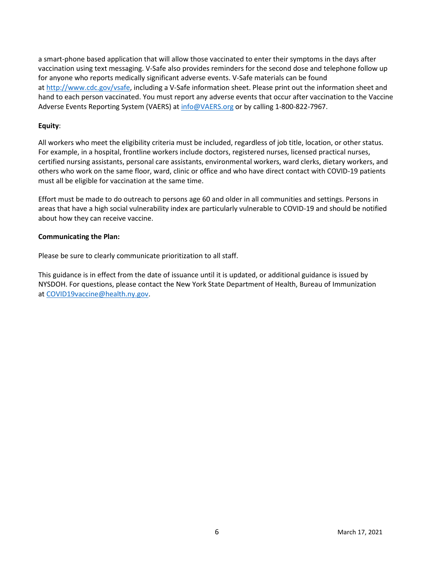a smart-phone based application that will allow those vaccinated to enter their symptoms in the days after vaccination using text messaging. V-Safe also provides reminders for the second dose and telephone follow up for anyone who reports medically significant adverse events. V-Safe materials can be found at [http://www.cdc.gov/vsafe,](http://www.cdc.gov/vsafe) including a V-Safe information sheet. Please print out the information sheet and hand to each person vaccinated. You must report any adverse events that occur after vaccination to the Vaccine Adverse Events Reporting System (VAERS) a[t info@VAERS.org](mailto:info@VAERS.org) or by calling 1-800-822-7967.

### **Equity**:

All workers who meet the eligibility criteria must be included, regardless of job title, location, or other status. For example, in a hospital, frontline workers include doctors, registered nurses, licensed practical nurses, certified nursing assistants, personal care assistants, environmental workers, ward clerks, dietary workers, and others who work on the same floor, ward, clinic or office and who have direct contact with COVID-19 patients must all be eligible for vaccination at the same time.

Effort must be made to do outreach to persons age 60 and older in all communities and settings. Persons in areas that have a high social vulnerability index are particularly vulnerable to COVID-19 and should be notified about how they can receive vaccine.

#### **Communicating the Plan:**

Please be sure to clearly communicate prioritization to all staff.  

This guidance is in effect from the date of issuance until it is updated, or additional guidance is issued by NYSDOH. For questions, please contact the New York State Department of Health, Bureau of Immunization at [COVID19vaccine@health.ny.gov.](mailto:COVID19vaccine@health.ny.gov)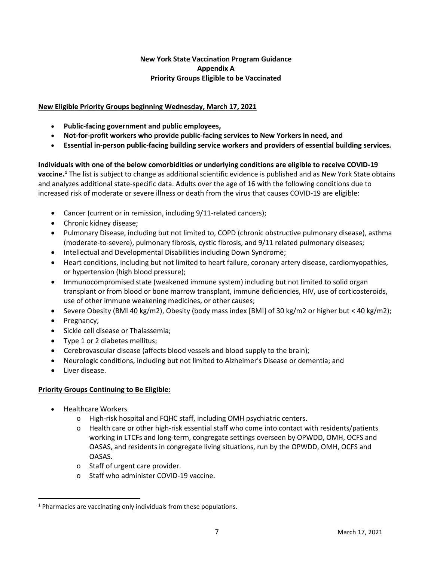## **New York State Vaccination Program Guidance Appendix A Priority Groups Eligible to be Vaccinated**

## **New Eligible Priority Groups beginning Wednesday, March 17, 2021**

- **Public-facing government and public employees,**
- **Not-for-profit workers who provide public-facing services to New Yorkers in need, and**
- **Essential in-person public-facing building service workers and providers of essential building services.**

**Individuals with one of the below comorbidities or underlying conditions are eligible to receive COVID-19 vaccine.[1](#page-6-0)** The list is subject to change as additional scientific evidence is published and as New York State obtains and analyzes additional state-specific data. Adults over the age of 16 with the following conditions due to increased risk of moderate or severe illness or death from the virus that causes COVID-19 are eligible:

- Cancer (current or in remission, including 9/11-related cancers);
- Chronic kidney disease;
- Pulmonary Disease, including but not limited to, COPD (chronic obstructive pulmonary disease), asthma (moderate-to-severe), pulmonary fibrosis, cystic fibrosis, and 9/11 related pulmonary diseases;
- Intellectual and Developmental Disabilities including Down Syndrome;
- Heart conditions, including but not limited to heart failure, coronary artery disease, cardiomyopathies, or hypertension (high blood pressure);
- Immunocompromised state (weakened immune system) including but not limited to solid organ transplant or from blood or bone marrow transplant, immune deficiencies, HIV, use of corticosteroids, use of other immune weakening medicines, or other causes;
- Severe Obesity (BMI 40 kg/m2), Obesity (body mass index [BMI] of 30 kg/m2 or higher but < 40 kg/m2);
- Pregnancy;
- Sickle cell disease or Thalassemia;
- Type 1 or 2 diabetes mellitus;
- Cerebrovascular disease (affects blood vessels and blood supply to the brain);
- Neurologic conditions, including but not limited to Alzheimer's Disease or dementia; and
- Liver disease.

### **Priority Groups Continuing to Be Eligible:**

- Healthcare Workers
	- o High-risk hospital and FQHC staff, including OMH psychiatric centers.
	- $\circ$  Health care or other high-risk essential staff who come into contact with residents/patients working in LTCFs and long-term, congregate settings overseen by OPWDD, OMH, OCFS and OASAS, and residents in congregate living situations, run by the OPWDD, OMH, OCFS and OASAS.
	- o Staff of urgent care provider.
	- o Staff who administer COVID-19 vaccine.

<span id="page-6-0"></span><sup>&</sup>lt;sup>1</sup> Pharmacies are vaccinating only individuals from these populations.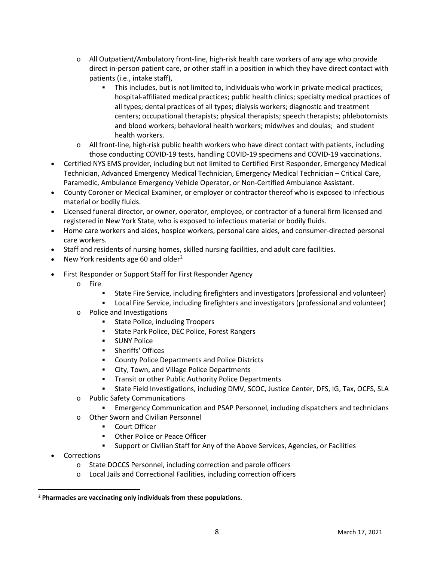- o All Outpatient/Ambulatory front-line, high-risk health care workers of any age who provide direct in-person patient care, or other staff in a position in which they have direct contact with patients (i.e., intake staff),
	- This includes, but is not limited to, individuals who work in private medical practices; hospital-affiliated medical practices; public health clinics; specialty medical practices of all types; dental practices of all types; dialysis workers; diagnostic and treatment centers; occupational therapists; physical therapists; speech therapists; phlebotomists and blood workers; behavioral health workers; midwives and doulas; and student health workers.
- $\circ$  All front-line, high-risk public health workers who have direct contact with patients, including those conducting COVID-19 tests, handling COVID-19 specimens and COVID-19 vaccinations.
- Certified NYS EMS provider, including but not limited to Certified First Responder, Emergency Medical Technician, Advanced Emergency Medical Technician, Emergency Medical Technician – Critical Care, Paramedic, Ambulance Emergency Vehicle Operator, or Non-Certified Ambulance Assistant.
- County Coroner or Medical Examiner, or employer or contractor thereof who is exposed to infectious material or bodily fluids.
- Licensed funeral director, or owner, operator, employee, or contractor of a funeral firm licensed and registered in New York State, who is exposed to infectious material or bodily fluids.
- Home care workers and aides, hospice workers, personal care aides, and consumer-directed personal care workers.
- Staff and residents of nursing homes, skilled nursing facilities, and adult care facilities.
- New York residents age 60 and older<sup>[2](#page-7-0)</sup>
- First Responder or Support Staff for First Responder Agency
	- o Fire
		- State Fire Service, including firefighters and investigators (professional and volunteer)
		- Local Fire Service, including firefighters and investigators (professional and volunteer)
	- o Police and Investigations
		- State Police, including Troopers
		- State Park Police, DEC Police, Forest Rangers
		- **SUNY Police**
		- **EXECUTE: Sheriffs' Offices**
		- **EXECOUNTY Police Departments and Police Districts**
		- **EXECT:** City, Town, and Village Police Departments
		- **Transit or other Public Authority Police Departments**
		- State Field Investigations, including DMV, SCOC, Justice Center, DFS, IG, Tax, OCFS, SLA
	- o Public Safety Communications
		- Emergency Communication and PSAP Personnel, including dispatchers and technicians
	- o Other Sworn and Civilian Personnel
		- **Court Officer**
		- **Other Police or Peace Officer**
		- Support or Civilian Staff for Any of the Above Services, Agencies, or Facilities
- **Corrections** 
	- o State DOCCS Personnel, including correction and parole officers
	- o Local Jails and Correctional Facilities, including correction officers

<span id="page-7-0"></span>**<sup>2</sup> Pharmacies are vaccinating only individuals from these populations.**